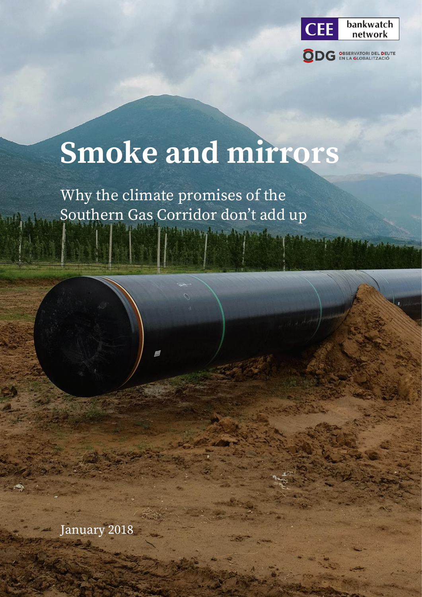

# **Smoke and mirrors**

Why the climate promises of the Southern Gas Corridor don't add up

January 2018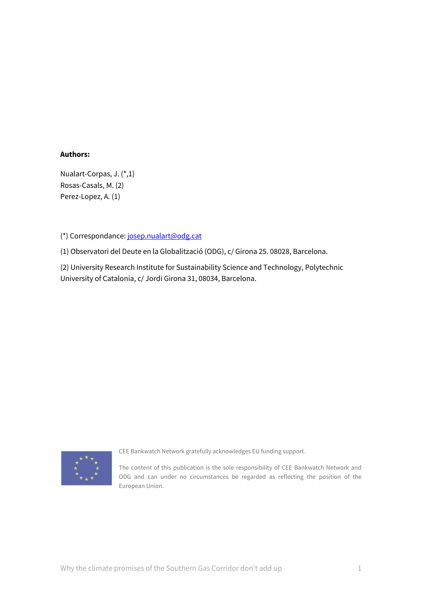#### **Authors:**

Nualart-Corpas, J. (\*,1) Rosas-Casals, M. (2) Perez-Lopez, A. (1)

(\*) Correspondance: [josep.nualart@odg.cat](mailto:josep.nualart@odg.cat)

(1) Observatori del Deute en la Globalització (ODG), c/ Girona 25. 08028, Barcelona.

(2) University Research Institute for Sustainability Science and Technology, Polytechnic University of Catalonia, c/ Jordi Girona 31, 08034, Barcelona.



CEE Bankwatch Network gratefully acknowledges EU funding support.

The content of this publication is the sole responsibility of CEE Bankwatch Network and ODG and can under no circumstances be regarded as reflecting the position of the European Union.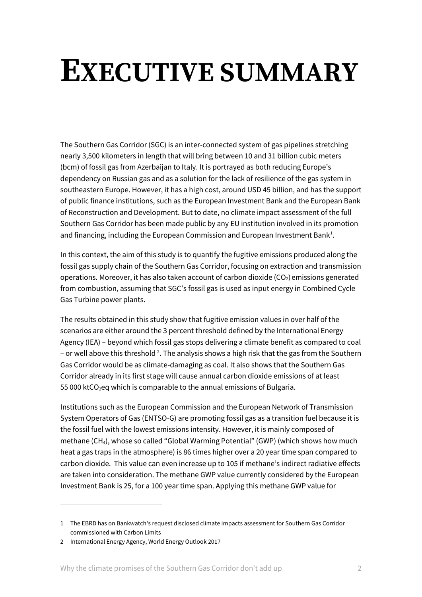# **EXECUTIVE SUMMARY**

The Southern Gas Corridor (SGC) is an inter-connected system of gas pipelines stretching nearly 3,500 kilometers in length that will bring between 10 and 31 billion cubic meters (bcm) of fossil gas from Azerbaijan to Italy. It is portrayed as both reducing Europe's dependency on Russian gas and as a solution for the lack of resilience of the gas system in southeastern Europe. However, it has a high cost, around USD 45 billion, and has the support of public finance institutions, such as the European Investment Bank and the European Bank of Reconstruction and Development. But to date, no climate impact assessment of the full Southern Gas Corridor has been made public by any EU institution involved in its promotion and financing, including the European Commission and European Investment Bank<sup>1</sup>.

In this context, the aim of this study is to quantify the fugitive emissions produced along the fossil gas supply chain of the Southern Gas Corridor, focusing on extraction and transmission operations. Moreover, it has also taken account of carbon dioxide  $(CO<sub>2</sub>)$  emissions generated from combustion, assuming that SGC's fossil gas is used as input energy in Combined Cycle Gas Turbine power plants.

The results obtained in this study show that fugitive emission values in over half of the scenarios are either around the 3 percent threshold defined by the International Energy Agency (IEA) – beyond which fossil gas stops delivering a climate benefit as compared to coal – or well above this threshold <sup>2</sup>. The analysis shows a high risk that the gas from the Southern Gas Corridor would be as climate-damaging as coal. It also shows that the Southern Gas Corridor already in its first stage will cause annual carbon dioxide emissions of at least 55 000 ktCO<sub>2</sub>eq which is comparable to the annual emissions of Bulgaria.

Institutions such as the European Commission and the European Network of Transmission System Operators of Gas (ENTSO-G) are promoting fossil gas as a transition fuel because it is the fossil fuel with the lowest emissions intensity. However, it is mainly composed of methane (CH4), whose so called "Global Warming Potential" (GWP) (which shows how much heat a gas traps in the atmosphere) is 86 times higher over a 20 year time span compared to carbon dioxide. This value can even increase up to 105 if methane's indirect radiative effects are taken into consideration. The methane GWP value currently considered by the European Investment Bank is 25, for a 100 year time span. Applying this methane GWP value for

<sup>1</sup> The EBRD has on Bankwatch's request disclosed climate impacts assessment for Southern Gas Corridor commissioned with Carbon Limits

<sup>2</sup> International Energy Agency, World Energy Outlook 2017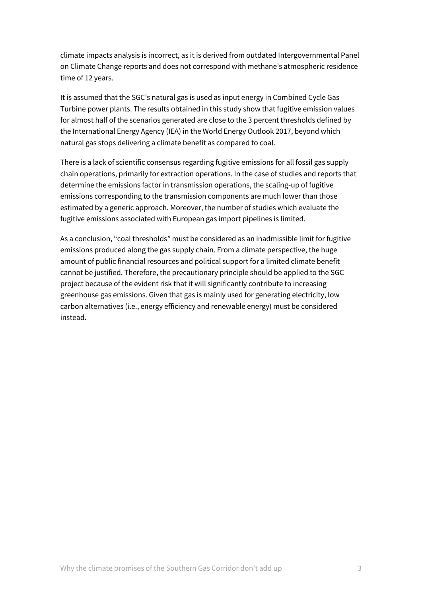climate impacts analysis is incorrect, as it is derived from outdated Intergovernmental Panel on Climate Change reports and does not correspond with methane's atmospheric residence time of 12 years.

It is assumed that the SGC's natural gas is used as input energy in Combined Cycle Gas Turbine power plants. The results obtained in this study show that fugitive emission values for almost half of the scenarios generated are close to the 3 percent thresholds defined by the International Energy Agency (IEA) in the World Energy Outlook 2017, beyond which natural gas stops delivering a climate benefit as compared to coal.

There is a lack of scientific consensus regarding fugitive emissions for all fossil gas supply chain operations, primarily for extraction operations. In the case of studies and reports that determine the emissions factor in transmission operations, the scaling-up of fugitive emissions corresponding to the transmission components are much lower than those estimated by a generic approach. Moreover, the number of studies which evaluate the fugitive emissions associated with European gas import pipelines is limited.

As a conclusion, "coal thresholds" must be considered as an inadmissible limit for fugitive emissions produced along the gas supply chain. From a climate perspective, the huge amount of public financial resources and political support for a limited climate benefit cannot be justified. Therefore, the precautionary principle should be applied to the SGC project because of the evident risk that it will significantly contribute to increasing greenhouse gas emissions. Given that gas is mainly used for generating electricity, low carbon alternatives (i.e., energy efficiency and renewable energy) must be considered instead.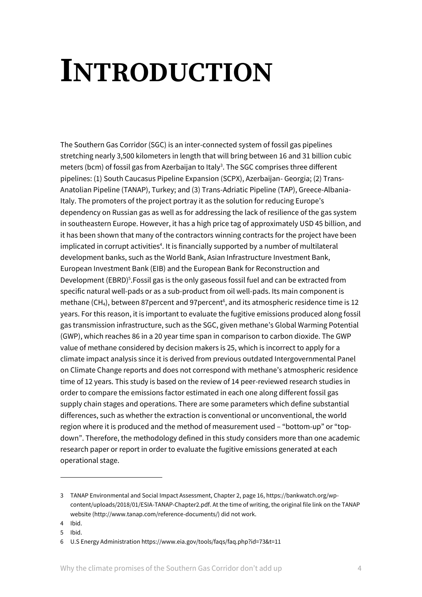# **INTRODUCTION**

The Southern Gas Corridor (SGC) is an inter-connected system of fossil gas pipelines stretching nearly 3,500 kilometers in length that will bring between 16 and 31 billion cubic meters (bcm) of fossil gas from Azerbaijan to Italy<sup>3</sup>. The SGC comprises three different pipelines: (1) South Caucasus Pipeline Expansion (SCPX), Azerbaijan- Georgia; (2) Trans-Anatolian Pipeline (TANAP), Turkey; and (3) Trans-Adriatic Pipeline (TAP), Greece-Albania-Italy. The promoters of the project portray it as the solution for reducing Europe's dependency on Russian gas as well as for addressing the lack of resilience of the gas system in southeastern Europe. However, it has a high price tag of approximately USD 45 billion, and it has been shown that many of the contractors winning contracts for the project have been implicated in corrupt activities<sup>4</sup>. It is financially supported by a number of multilateral development banks, such as the World Bank, Asian Infrastructure Investment Bank, European Investment Bank (EIB) and the European Bank for Reconstruction and Development (EBRD)<sup>5</sup>. Fossil gas is the only gaseous fossil fuel and can be extracted from specific natural well-pads or as a sub-product from oil well-pads. Its main component is methane (CH<sub>4</sub>), between 87 percent and 97 percent<sup>6</sup>, and its atmospheric residence time is 12 years. For this reason, it is important to evaluate the fugitive emissions produced along fossil gas transmission infrastructure, such as the SGC, given methane's Global Warming Potential (GWP), which reaches 86 in a 20 year time span in comparison to carbon dioxide. The GWP value of methane considered by decision makers is 25, which is incorrect to apply for a climate impact analysis since it is derived from previous outdated Intergovernmental Panel on Climate Change reports and does not correspond with methane's atmospheric residence time of 12 years. This study is based on the review of 14 peer-reviewed research studies in order to compare the emissions factor estimated in each one along different fossil gas supply chain stages and operations. There are some parameters which define substantial differences, such as whether the extraction is conventional or unconventional, the world region where it is produced and the method of measurement used – "bottom-up" or "topdown". Therefore, the methodology defined in this study considers more than one academic research paper or report in order to evaluate the fugitive emissions generated at each operational stage.

<sup>3</sup> TANAP Environmental and Social Impact Assessment, Chapter 2, page 16, https://bankwatch.org/wpcontent/uploads/2018/01/ESIA-TANAP-Chapter2.pdf. At the time of writing, the original file link on the TANAP website (http://www.tanap.com/reference-documents/) did not work.

<sup>4</sup> Ibid.

<sup>5</sup> Ibid.

<sup>6</sup> U.S Energy Administration https://www.eia.gov/tools/faqs/faq.php?id=73&t=11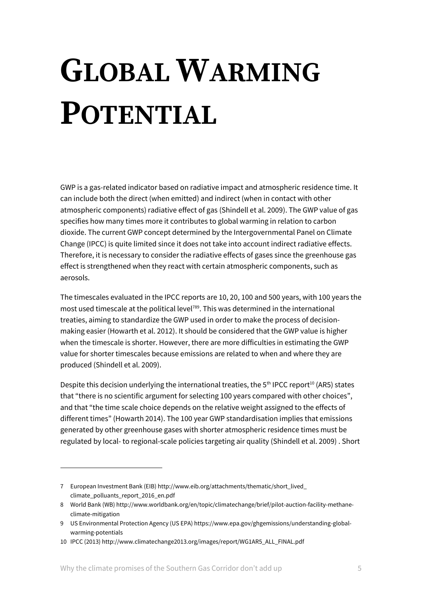# **GLOBAL WARMING POTENTIAL**

GWP is a gas-related indicator based on radiative impact and atmospheric residence time. It can include both the direct (when emitted) and indirect (when in contact with other atmospheric components) radiative effect of gas (Shindell et al. 2009). The GWP value of gas specifies how many times more it contributes to global warming in relation to carbon dioxide. The current GWP concept determined by the Intergovernmental Panel on Climate Change (IPCC) is quite limited since it does not take into account indirect radiative effects. Therefore, it is necessary to consider the radiative effects of gases since the greenhouse gas effect is strengthened when they react with certain atmospheric components, such as aerosols.

The timescales evaluated in the IPCC reports are 10, 20, 100 and 500 years, with 100 years the most used timescale at the political level<sup>789</sup>. This was determined in the international treaties, aiming to standardize the GWP used in order to make the process of decisionmaking easier (Howarth et al. 2012). It should be considered that the GWP value is higher when the timescale is shorter. However, there are more difficulties in estimating the GWP value for shorter timescales because emissions are related to when and where they are produced (Shindell et al. 2009).

Despite this decision underlying the international treaties, the  $5<sup>th</sup>$  IPCC report<sup>10</sup> (AR5) states that "there is no scientific argument for selecting 100 years compared with other choices", and that "the time scale choice depends on the relative weight assigned to the effects of different times" (Howarth 2014). The 100 year GWP standardisation implies that emissions generated by other greenhouse gases with shorter atmospheric residence times must be regulated by local- to regional-scale policies targeting air quality (Shindell et al. 2009) . Short

1

<sup>7</sup> European Investment Bank (EIB) http://www.eib.org/attachments/thematic/short\_lived\_ climate\_polluants\_report\_2016\_en.pdf

<sup>8</sup> World Bank (WB) http://www.worldbank.org/en/topic/climatechange/brief/pilot-auction-facility-methaneclimate-mitigation

<sup>9</sup> US Environmental Protection Agency (US EPA) https://www.epa.gov/ghgemissions/understanding-globalwarming-potentials

<sup>10</sup> IPCC (2013) http://www.climatechange2013.org/images/report/WG1AR5\_ALL\_FINAL.pdf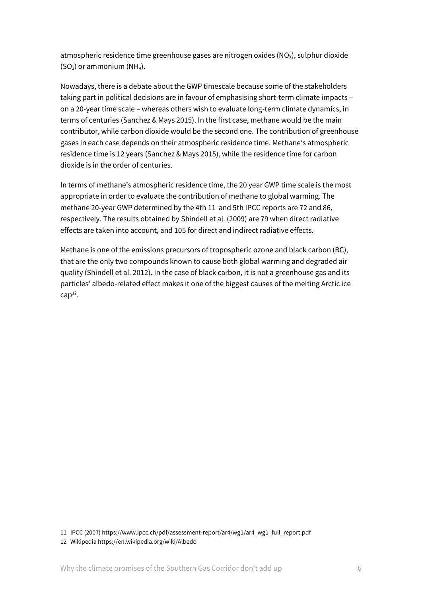atmospheric residence time greenhouse gases are nitrogen oxides  $(NO<sub>x</sub>)$ , sulphur dioxide  $(SO<sub>2</sub>)$  or ammonium  $(NH<sub>4</sub>)$ .

Nowadays, there is a debate about the GWP timescale because some of the stakeholders taking part in political decisions are in favour of emphasising short-term climate impacts – on a 20-year time scale – whereas others wish to evaluate long-term climate dynamics, in terms of centuries (Sanchez & Mays 2015). In the first case, methane would be the main contributor, while carbon dioxide would be the second one. The contribution of greenhouse gases in each case depends on their atmospheric residence time. Methane's atmospheric residence time is 12 years (Sanchez & Mays 2015), while the residence time for carbon dioxide is in the order of centuries.

In terms of methane's atmospheric residence time, the 20 year GWP time scale is the most appropriate in order to evaluate the contribution of methane to global warming. The methane 20-year GWP determined by the 4th 11 and 5th IPCC reports are 72 and 86, respectively. The results obtained by Shindell et al. (2009) are 79 when direct radiative effects are taken into account, and 105 for direct and indirect radiative effects.

Methane is one of the emissions precursors of tropospheric ozone and black carbon (BC), that are the only two compounds known to cause both global warming and degraded air quality (Shindell et al. 2012). In the case of black carbon, it is not a greenhouse gas and its particles' albedo-related effect makes it one of the biggest causes of the melting Arctic ice  $cap<sup>12</sup>$ .

<sup>11</sup> IPCC (2007) https://www.ipcc.ch/pdf/assessment-report/ar4/wg1/ar4\_wg1\_full\_report.pdf

<sup>12</sup> Wikipedia https://en.wikipedia.org/wiki/Albedo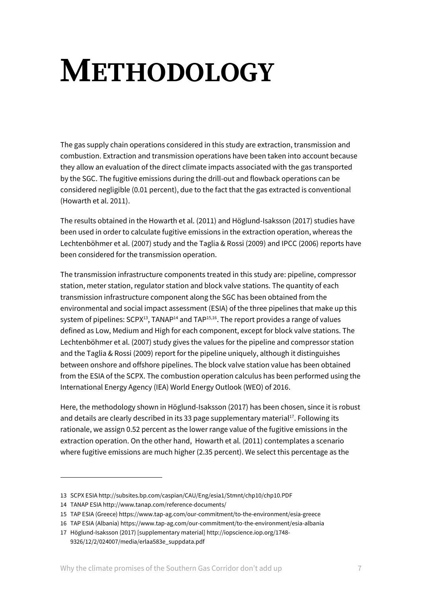# **METHODOLOGY**

The gas supply chain operations considered in this study are extraction, transmission and combustion. Extraction and transmission operations have been taken into account because they allow an evaluation of the direct climate impacts associated with the gas transported by the SGC. The fugitive emissions during the drill-out and flowback operations can be considered negligible (0.01 percent), due to the fact that the gas extracted is conventional (Howarth et al. 2011).

The results obtained in the Howarth et al. (2011) and Höglund-Isaksson (2017) studies have been used in order to calculate fugitive emissions in the extraction operation, whereas the Lechtenböhmer et al. (2007) study and the Taglia & Rossi (2009) and IPCC (2006) reports have been considered for the transmission operation.

The transmission infrastructure components treated in this study are: pipeline, compressor station, meter station, regulator station and block valve stations. The quantity of each transmission infrastructure component along the SGC has been obtained from the environmental and social impact assessment (ESIA) of the three pipelines that make up this system of pipelines:  $SCPX<sup>13</sup>$ , TANAP<sup>14</sup> and TAP<sup>15,16</sup>. The report provides a range of values defined as Low, Medium and High for each component, except for block valve stations. The Lechtenböhmer et al. (2007) study gives the values for the pipeline and compressor station and the Taglia & Rossi (2009) report for the pipeline uniquely, although it distinguishes between onshore and offshore pipelines. The block valve station value has been obtained from the ESIA of the SCPX. The combustion operation calculus has been performed using the International Energy Agency (IEA) World Energy Outlook (WEO) of 2016.

Here, the methodology shown in Höglund-Isaksson (2017) has been chosen, since it is robust and details are clearly described in its 33 page supplementary material<sup>17</sup>. Following its rationale, we assign 0.52 percent as the lower range value of the fugitive emissions in the extraction operation. On the other hand, Howarth et al. (2011) contemplates a scenario where fugitive emissions are much higher (2.35 percent). We select this percentage as the

<sup>13</sup> SCPX ESIA http://subsites.bp.com/caspian/CAU/Eng/esia1/Stmnt/chp10/chp10.PDF

<sup>14</sup> TANAP ESIA http://www.tanap.com/reference-documents/

<sup>15</sup> TAP ESIA (Greece) https://www.tap-ag.com/our-commitment/to-the-environment/esia-greece

<sup>16</sup> TAP ESIA (Albania) https://www.tap-ag.com/our-commitment/to-the-environment/esia-albania

<sup>17</sup> Höglund-Isaksson (2017) [supplementary material] http://iopscience.iop.org/1748- 9326/12/2/024007/media/erlaa583e\_suppdata.pdf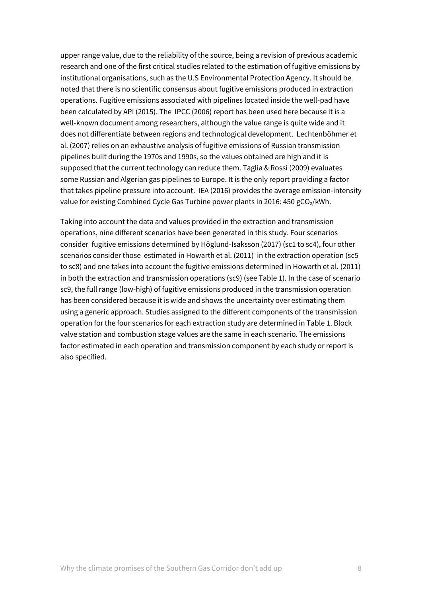upper range value, due to the reliability of the source, being a revision of previous academic research and one of the first critical studies related to the estimation of fugitive emissions by institutional organisations, such as the U.S Environmental Protection Agency. It should be noted that there is no scientific consensus about fugitive emissions produced in extraction operations. Fugitive emissions associated with pipelines located inside the well-pad have been calculated by API (2015). The IPCC (2006) report has been used here because it is a well-known document among researchers, although the value range is quite wide and it does not differentiate between regions and technological development. Lechtenböhmer et al. (2007) relies on an exhaustive analysis of fugitive emissions of Russian transmission pipelines built during the 1970s and 1990s, so the values obtained are high and it is supposed that the current technology can reduce them. Taglia & Rossi (2009) evaluates some Russian and Algerian gas pipelines to Europe. It is the only report providing a factor that takes pipeline pressure into account. IEA (2016) provides the average emission-intensity value for existing Combined Cycle Gas Turbine power plants in 2016: 450 gCO<sub>2</sub>/kWh.

Taking into account the data and values provided in the extraction and transmission operations, nine different scenarios have been generated in this study. Four scenarios consider fugitive emissions determined by Höglund-Isaksson (2017) (sc1 to sc4), four other scenarios consider those estimated in Howarth et al. (2011) in the extraction operation (sc5 to sc8) and one takes into account the fugitive emissions determined in Howarth et al. (2011) in both the extraction and transmission operations (sc9) (see Table 1). In the case of scenario sc9, the full range (low-high) of fugitive emissions produced in the transmission operation has been considered because it is wide and shows the uncertainty over estimating them using a generic approach. Studies assigned to the different components of the transmission operation for the four scenarios for each extraction study are determined in Table 1. Block valve station and combustion stage values are the same in each scenario. The emissions factor estimated in each operation and transmission component by each study or report is also specified.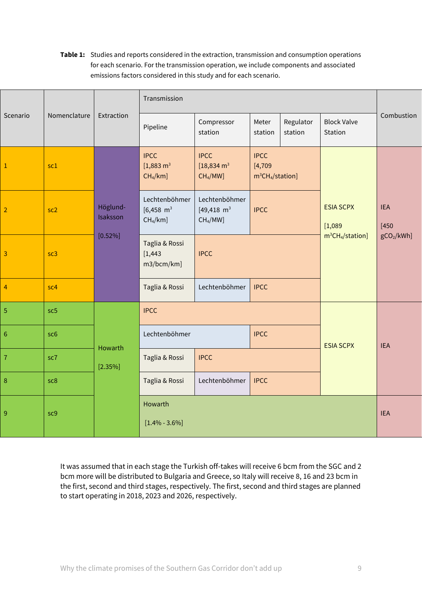#### **Table 1:** Studies and reports considered in the extraction, transmission and consumption operations for each scenario. For the transmission operation, we include components and associated emissions factors considered in this study and for each scenario.

| Scenario        | Nomenclature    | Extraction                      | Transmission                                                   |                                                                  |                                               |                      |                               |                        |
|-----------------|-----------------|---------------------------------|----------------------------------------------------------------|------------------------------------------------------------------|-----------------------------------------------|----------------------|-------------------------------|------------------------|
|                 |                 |                                 | Pipeline                                                       | Compressor<br>station                                            | Meter<br>station                              | Regulator<br>station | <b>Block Valve</b><br>Station | Combustion             |
| $\mathbf 1$     | sc1             | Höglund-<br>Isaksson<br>[0.52%] | <b>IPCC</b><br>$[1,883 \text{ m}^3]$<br>$CH4/km$ ]             | <b>IPCC</b><br>$[18,834 \text{ m}^3]$<br>CH <sub>4</sub> /MW]    | <b>IPCC</b><br>[4, 709]<br>$m^3CH_4/station]$ |                      |                               |                        |
| $\overline{2}$  | sc <sub>2</sub> |                                 | Lechtenböhmer<br>$[6,458 \text{ m}^3]$<br>CH <sub>4</sub> /km] | Lechtenböhmer<br>$[49, 418 \text{ m}^3]$<br>CH <sub>4</sub> /MW] | <b>IPCC</b>                                   |                      | <b>ESIA SCPX</b><br>[1,089]   | <b>IEA</b><br>$[450$   |
| $\overline{3}$  | sc3             |                                 | Taglia & Rossi<br>[1, 443]<br>m3/bcm/km]                       | <b>IPCC</b>                                                      |                                               |                      | $m^3CH_4/station$ ]           | gCO <sub>2</sub> /kWh] |
| $\overline{4}$  | sc <sub>4</sub> |                                 | Taglia & Rossi                                                 | Lechtenböhmer                                                    | <b>IPCC</b>                                   |                      |                               |                        |
| $\overline{5}$  | sc <sub>5</sub> |                                 | <b>IPCC</b>                                                    |                                                                  |                                               |                      |                               |                        |
| $6\phantom{.}6$ | sc <sub>6</sub> | Howarth<br>$[2.35\%]$           | Lechtenböhmer                                                  |                                                                  | <b>IPCC</b>                                   |                      | <b>ESIA SCPX</b>              | <b>IEA</b>             |
| $\overline{7}$  | sc7             |                                 | Taglia & Rossi<br><b>IPCC</b>                                  |                                                                  |                                               |                      |                               |                        |
| $\, 8$          | sc8             |                                 | Taglia & Rossi                                                 | Lechtenböhmer                                                    | <b>IPCC</b>                                   |                      |                               |                        |
| $\overline{9}$  | sc9             |                                 | Howarth<br>$[1.4\% - 3.6\%]$                                   | <b>IEA</b>                                                       |                                               |                      |                               |                        |

It was assumed that in each stage the Turkish off-takes will receive 6 bcm from the SGC and 2 bcm more will be distributed to Bulgaria and Greece, so Italy will receive 8, 16 and 23 bcm in the first, second and third stages, respectively. The first, second and third stages are planned to start operating in 2018, 2023 and 2026, respectively.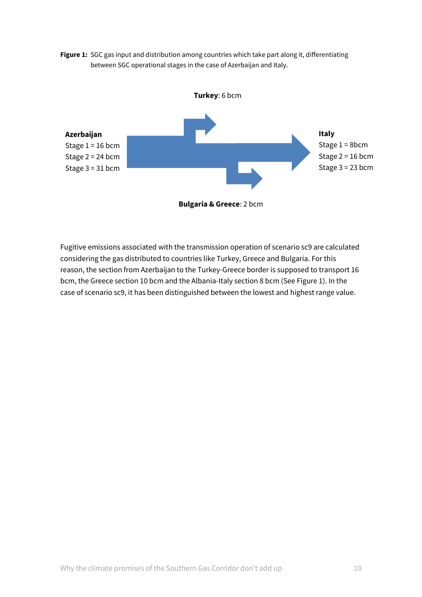



Fugitive emissions associated with the transmission operation of scenario sc9 are calculated considering the gas distributed to countries like Turkey, Greece and Bulgaria. For this reason, the section from Azerbaijan to the Turkey-Greece border is supposed to transport 16 bcm, the Greece section 10 bcm and the Albania-Italy section 8 bcm (See Figure 1). In the case of scenario sc9, it has been distinguished between the lowest and highest range value.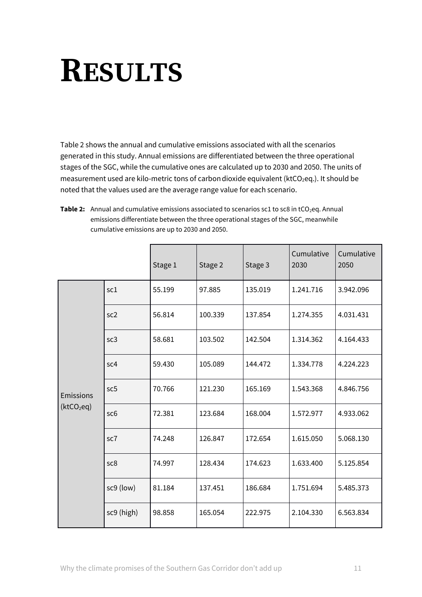# **RESULTS**

Table 2 shows the annual and cumulative emissions associated with all the scenarios generated in this study. Annual emissions are differentiated between the three operational stages of the SGC, while the cumulative ones are calculated up to 2030 and 2050. The units of measurement used are kilo-metric tons of carbon dioxide equivalent ( $ktCO<sub>2</sub>$ eq.). It should be noted that the values used are the average range value for each scenario.

**Table 2:** Annual and cumulative emissions associated to scenarios sc1 to sc8 in tCO<sub>2</sub>eq. Annual emissions differentiate between the three operational stages of the SGC, meanwhile cumulative emissions are up to 2030 and 2050.

|                        |                 | Stage 1 | Stage 2 | Stage 3 | Cumulative<br>2030 | Cumulative<br>2050 |
|------------------------|-----------------|---------|---------|---------|--------------------|--------------------|
|                        | sc1             | 55.199  | 97.885  | 135.019 | 1.241.716          | 3.942.096          |
|                        | sc <sub>2</sub> | 56.814  | 100.339 | 137.854 | 1.274.355          | 4.031.431          |
|                        | sc <sub>3</sub> | 58.681  | 103.502 | 142.504 | 1.314.362          | 4.164.433          |
|                        | sc4             | 59.430  | 105.089 | 144.472 | 1.334.778          | 4.224.223          |
| Emissions              | sc5             | 70.766  | 121.230 | 165.169 | 1.543.368          | 4.846.756          |
| (ktCO <sub>2</sub> eq) | sc <sub>6</sub> | 72.381  | 123.684 | 168.004 | 1.572.977          | 4.933.062          |
|                        | sc7             | 74.248  | 126.847 | 172.654 | 1.615.050          | 5.068.130          |
|                        | sc8             | 74.997  | 128.434 | 174.623 | 1.633.400          | 5.125.854          |
|                        | sc9 (low)       | 81.184  | 137.451 | 186.684 | 1.751.694          | 5.485.373          |
|                        | sc9 (high)      | 98.858  | 165.054 | 222.975 | 2.104.330          | 6.563.834          |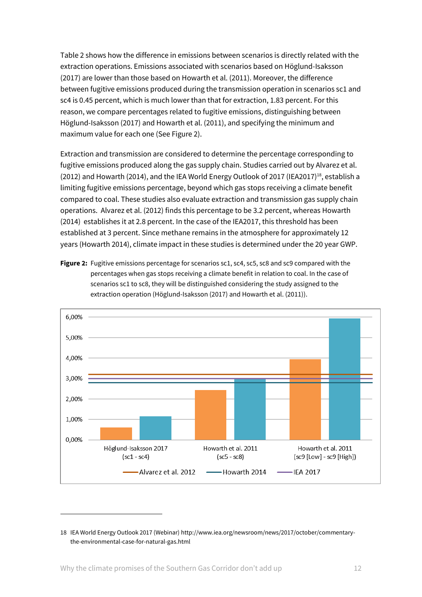Table 2 shows how the difference in emissions between scenarios is directly related with the extraction operations. Emissions associated with scenarios based on Höglund-Isaksson (2017) are lower than those based on Howarth et al. (2011). Moreover, the difference between fugitive emissions produced during the transmission operation in scenarios sc1 and sc4 is 0.45 percent, which is much lower than that for extraction, 1.83 percent. For this reason, we compare percentages related to fugitive emissions, distinguishing between Höglund-Isaksson (2017) and Howarth et al. (2011), and specifying the minimum and maximum value for each one (See Figure 2).

Extraction and transmission are considered to determine the percentage corresponding to fugitive emissions produced along the gas supply chain. Studies carried out by Alvarez et al. (2012) and Howarth (2014), and the IEA World Energy Outlook of 2017 (IEA2017)<sup>18</sup>, establish a limiting fugitive emissions percentage, beyond which gas stops receiving a climate benefit compared to coal. These studies also evaluate extraction and transmission gas supply chain operations. Alvarez et al. (2012) finds this percentage to be 3.2 percent, whereas Howarth (2014) establishes it at 2.8 percent. In the case of the IEA2017, this threshold has been established at 3 percent. Since methane remains in the atmosphere for approximately 12 years (Howarth 2014), climate impact in these studies is determined under the 20 year GWP.

**Figure 2:** Fugitive emissions percentage for scenarios sc1, sc4, sc5, sc8 and sc9 compared with the percentages when gas stops receiving a climate benefit in relation to coal. In the case of scenarios sc1 to sc8, they will be distinguished considering the study assigned to the extraction operation (Höglund-Isaksson (2017) and Howarth et al. (2011)).



<sup>18</sup> IEA World Energy Outlook 2017 (Webinar[\) http://www.iea.org/newsroom/news/2017/october/commentary](http://www.iea.org/newsroom/news/2017/october/commentary-the-environmental-case-for-natural-gas.html)[the-environmental-case-for-natural-gas.html](http://www.iea.org/newsroom/news/2017/october/commentary-the-environmental-case-for-natural-gas.html)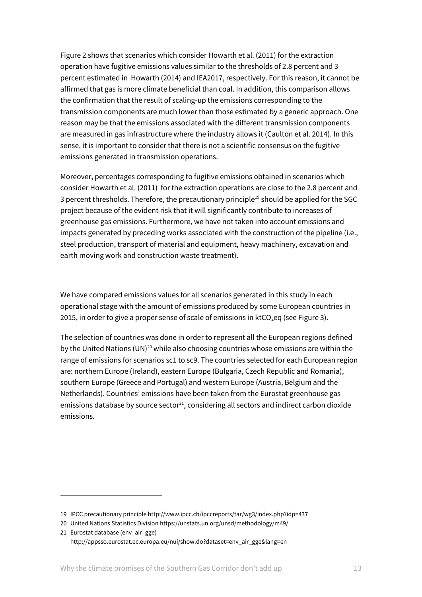Figure 2 shows that scenarios which consider Howarth et al. (2011) for the extraction operation have fugitive emissions values similar to the thresholds of 2.8 percent and 3 percent estimated in Howarth (2014) and IEA2017, respectively. For this reason, it cannot be affirmed that gas is more climate beneficial than coal. In addition, this comparison allows the confirmation that the result of scaling-up the emissions corresponding to the transmission components are much lower than those estimated by a generic approach. One reason may be that the emissions associated with the different transmission components are measured in gas infrastructure where the industry allows it (Caulton et al. 2014). In this sense, it is important to consider that there is not a scientific consensus on the fugitive emissions generated in transmission operations.

Moreover, percentages corresponding to fugitive emissions obtained in scenarios which consider Howarth et al. (2011) for the extraction operations are close to the 2.8 percent and 3 percent thresholds. Therefore, the precautionary principle<sup>19</sup> should be applied for the SGC project because of the evident risk that it will significantly contribute to increases of greenhouse gas emissions. Furthermore, we have not taken into account emissions and impacts generated by preceding works associated with the construction of the pipeline (i.e., steel production, transport of material and equipment, heavy machinery, excavation and earth moving work and construction waste treatment).

We have compared emissions values for all scenarios generated in this study in each operational stage with the amount of emissions produced by some European countries in 2015, in order to give a proper sense of scale of emissions in  $ktCO<sub>2</sub>$ eq (see Figure 3).

The selection of countries was done in order to represent all the European regions defined by the United Nations (UN)<sup>20</sup> while also choosing countries whose emissions are within the range of emissions for scenarios sc1 to sc9. The countries selected for each European region are: northern Europe (Ireland), eastern Europe (Bulgaria, Czech Republic and Romania), southern Europe (Greece and Portugal) and western Europe (Austria, Belgium and the Netherlands). Countries' emissions have been taken from the Eurostat greenhouse gas emissions database by source sector $^{21}$ , considering all sectors and indirect carbon dioxide emissions.

1

<sup>19</sup> IPCC precautionary principle http://www.ipcc.ch/ipccreports/tar/wg3/index.php?idp=437

<sup>20</sup> United Nations Statistics Divisio[n https://unstats.un.org/unsd/methodology/m49/](https://unstats.un.org/unsd/methodology/m49/)

<sup>21</sup> Eurostat database (env\_air\_gge) [http://appsso.eurostat.ec.europa.eu/nui/show.do?dataset=env\\_air\\_gge&lang=en](http://appsso.eurostat.ec.europa.eu/nui/show.do?dataset=env_air_gge&lang=en)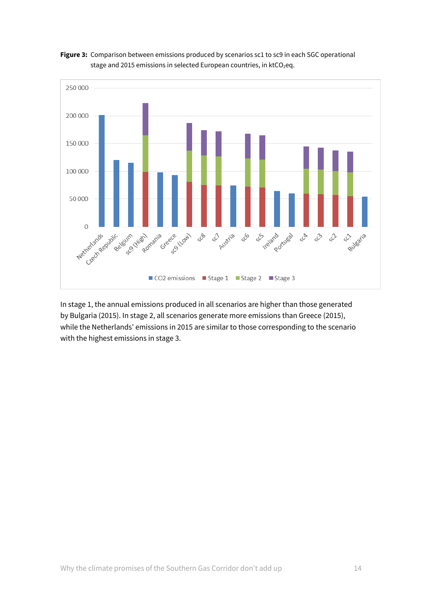



In stage 1, the annual emissions produced in all scenarios are higher than those generated by Bulgaria (2015). In stage 2, all scenarios generate more emissions than Greece (2015), while the Netherlands' emissions in 2015 are similar to those corresponding to the scenario with the highest emissions in stage 3.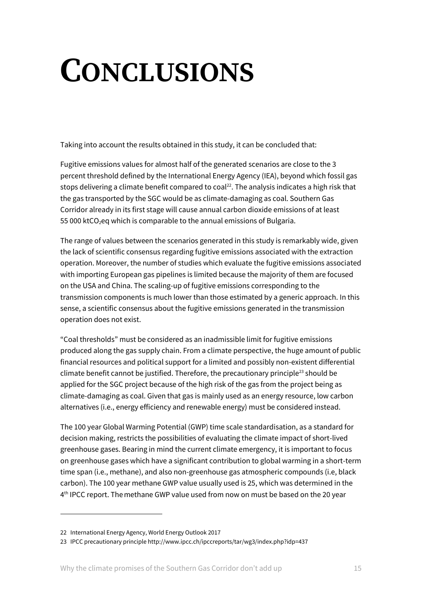# **CONCLUSIONS**

Taking into account the results obtained in this study, it can be concluded that:

Fugitive emissions values for almost half of the generated scenarios are close to the 3 percent threshold defined by the International Energy Agency (IEA), beyond which fossil gas stops delivering a climate benefit compared to coal<sup>22</sup>. The analysis indicates a high risk that the gas transported by the SGC would be as climate-damaging as coal. Southern Gas Corridor already in its first stage will cause annual carbon dioxide emissions of at least 55 000 ktCO<sub>2</sub>eq which is comparable to the annual emissions of Bulgaria.

The range of values between the scenarios generated in this study is remarkably wide, given the lack of scientific consensus regarding fugitive emissions associated with the extraction operation. Moreover, the number of studies which evaluate the fugitive emissions associated with importing European gas pipelines is limited because the majority of them are focused on the USA and China. The scaling-up of fugitive emissions corresponding to the transmission components is much lower than those estimated by a generic approach. In this sense, a scientific consensus about the fugitive emissions generated in the transmission operation does not exist.

"Coal thresholds" must be considered as an inadmissible limit for fugitive emissions produced along the gas supply chain. From a climate perspective, the huge amount of public financial resources and political support for a limited and possibly non-existent differential climate benefit cannot be justified. Therefore, the precautionary principle<sup>23</sup> should be applied for the SGC project because of the high risk of the gas from the project being as climate-damaging as coal. Given that gas is mainly used as an energy resource, low carbon alternatives (i.e., energy efficiency and renewable energy) must be considered instead.

The 100 year Global Warming Potential (GWP) time scale standardisation, as a standard for decision making, restricts the possibilities of evaluating the climate impact of short-lived greenhouse gases. Bearing in mind the current climate emergency, it is important to focus on greenhouse gases which have a significant contribution to global warming in a short-term time span (i.e., methane), and also non-greenhouse gas atmospheric compounds (i.e, black carbon). The 100 year methane GWP value usually used is 25, which was determined in the 4<sup>th</sup> IPCC report. The methane GWP value used from now on must be based on the 20 year

<sup>22</sup> International Energy Agency, World Energy Outlook 2017

<sup>23</sup> IPCC precautionary principle http://www.ipcc.ch/ipccreports/tar/wg3/index.php?idp=437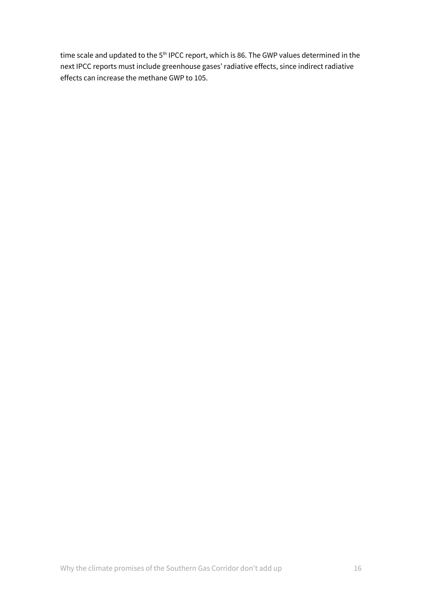time scale and updated to the 5<sup>th</sup> IPCC report, which is 86. The GWP values determined in the next IPCC reports must include greenhouse gases' radiative effects, since indirect radiative effects can increase the methane GWP to 105.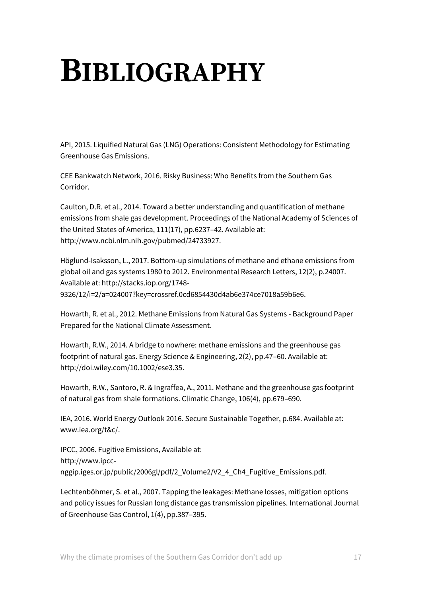### **BIBLIOGRAPHY**

API, 2015. Liquified Natural Gas (LNG) Operations: Consistent Methodology for Estimating Greenhouse Gas Emissions.

CEE Bankwatch Network, 2016. Risky Business: Who Benefits from the Southern Gas Corridor.

Caulton, D.R. et al., 2014. Toward a better understanding and quantification of methane emissions from shale gas development. Proceedings of the National Academy of Sciences of the United States of America, 111(17), pp.6237–42. Available at: http://www.ncbi.nlm.nih.gov/pubmed/24733927.

Höglund-Isaksson, L., 2017. Bottom-up simulations of methane and ethane emissions from global oil and gas systems 1980 to 2012. Environmental Research Letters, 12(2), p.24007. Available at: http://stacks.iop.org/1748-

9326/12/i=2/a=024007?key=crossref.0cd6854430d4ab6e374ce7018a59b6e6.

Howarth, R. et al., 2012. Methane Emissions from Natural Gas Systems - Background Paper Prepared for the National Climate Assessment.

Howarth, R.W., 2014. A bridge to nowhere: methane emissions and the greenhouse gas footprint of natural gas. Energy Science & Engineering, 2(2), pp.47–60. Available at: http://doi.wiley.com/10.1002/ese3.35.

Howarth, R.W., Santoro, R. & Ingraffea, A., 2011. Methane and the greenhouse gas footprint of natural gas from shale formations. Climatic Change, 106(4), pp.679–690.

IEA, 2016. World Energy Outlook 2016. Secure Sustainable Together, p.684. Available at: www.iea.org/t&c/.

IPCC, 2006. Fugitive Emissions, Available at: http://www.ipccnggip.iges.or.jp/public/2006gl/pdf/2\_Volume2/V2\_4\_Ch4\_Fugitive\_Emissions.pdf.

Lechtenböhmer, S. et al., 2007. Tapping the leakages: Methane losses, mitigation options and policy issues for Russian long distance gas transmission pipelines. International Journal of Greenhouse Gas Control, 1(4), pp.387–395.